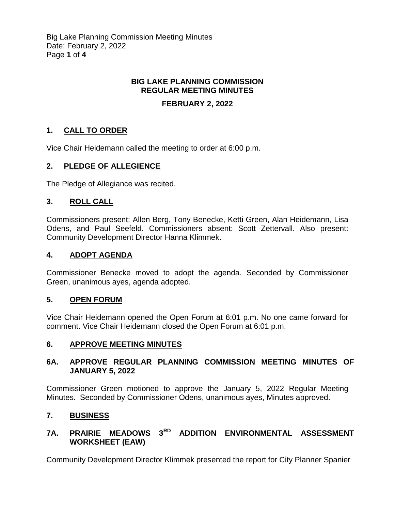Big Lake Planning Commission Meeting Minutes Date: February 2, 2022 Page **1** of **4**

## **BIG LAKE PLANNING COMMISSION REGULAR MEETING MINUTES**

### **FEBRUARY 2, 2022**

## **1. CALL TO ORDER**

Vice Chair Heidemann called the meeting to order at 6:00 p.m.

### **2. PLEDGE OF ALLEGIENCE**

The Pledge of Allegiance was recited.

### **3. ROLL CALL**

Commissioners present: Allen Berg, Tony Benecke, Ketti Green, Alan Heidemann, Lisa Odens, and Paul Seefeld. Commissioners absent: Scott Zettervall. Also present: Community Development Director Hanna Klimmek.

### **4. ADOPT AGENDA**

Commissioner Benecke moved to adopt the agenda. Seconded by Commissioner Green, unanimous ayes, agenda adopted.

### **5. OPEN FORUM**

Vice Chair Heidemann opened the Open Forum at 6:01 p.m. No one came forward for comment. Vice Chair Heidemann closed the Open Forum at 6:01 p.m.

### **6. APPROVE MEETING MINUTES**

### **6A. APPROVE REGULAR PLANNING COMMISSION MEETING MINUTES OF JANUARY 5, 2022**

Commissioner Green motioned to approve the January 5, 2022 Regular Meeting Minutes. Seconded by Commissioner Odens, unanimous ayes, Minutes approved.

### **7. BUSINESS**

# **7A. PRAIRIE MEADOWS 3RD ADDITION ENVIRONMENTAL ASSESSMENT WORKSHEET (EAW)**

Community Development Director Klimmek presented the report for City Planner Spanier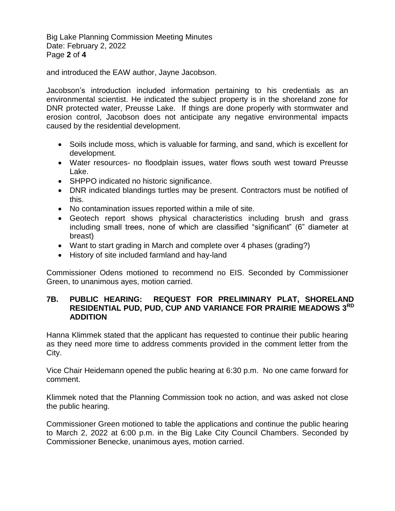Big Lake Planning Commission Meeting Minutes Date: February 2, 2022 Page **2** of **4**

and introduced the EAW author, Jayne Jacobson.

Jacobson's introduction included information pertaining to his credentials as an environmental scientist. He indicated the subject property is in the shoreland zone for DNR protected water, Preusse Lake. If things are done properly with stormwater and erosion control, Jacobson does not anticipate any negative environmental impacts caused by the residential development.

- Soils include moss, which is valuable for farming, and sand, which is excellent for development.
- Water resources- no floodplain issues, water flows south west toward Preusse Lake.
- SHPPO indicated no historic significance.
- DNR indicated blandings turtles may be present. Contractors must be notified of this.
- No contamination issues reported within a mile of site.
- Geotech report shows physical characteristics including brush and grass including small trees, none of which are classified "significant" (6" diameter at breast)
- Want to start grading in March and complete over 4 phases (grading?)
- History of site included farmland and hay-land

Commissioner Odens motioned to recommend no EIS. Seconded by Commissioner Green, to unanimous ayes, motion carried.

### **7B. PUBLIC HEARING: REQUEST FOR PRELIMINARY PLAT, SHORELAND RESIDENTIAL PUD, PUD, CUP AND VARIANCE FOR PRAIRIE MEADOWS 3RD ADDITION**

Hanna Klimmek stated that the applicant has requested to continue their public hearing as they need more time to address comments provided in the comment letter from the City.

Vice Chair Heidemann opened the public hearing at 6:30 p.m. No one came forward for comment.

Klimmek noted that the Planning Commission took no action, and was asked not close the public hearing.

Commissioner Green motioned to table the applications and continue the public hearing to March 2, 2022 at 6:00 p.m. in the Big Lake City Council Chambers. Seconded by Commissioner Benecke, unanimous ayes, motion carried.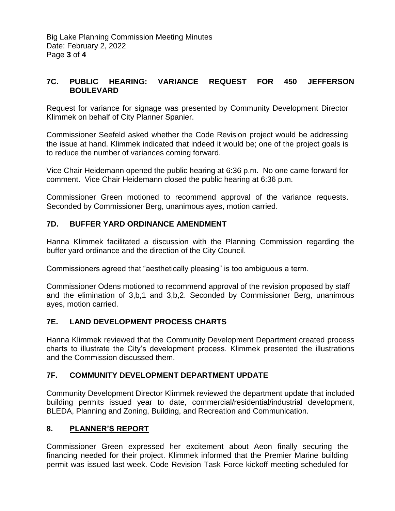## **7C. PUBLIC HEARING: VARIANCE REQUEST FOR 450 JEFFERSON BOULEVARD**

Request for variance for signage was presented by Community Development Director Klimmek on behalf of City Planner Spanier.

Commissioner Seefeld asked whether the Code Revision project would be addressing the issue at hand. Klimmek indicated that indeed it would be; one of the project goals is to reduce the number of variances coming forward.

Vice Chair Heidemann opened the public hearing at 6:36 p.m. No one came forward for comment. Vice Chair Heidemann closed the public hearing at 6:36 p.m.

Commissioner Green motioned to recommend approval of the variance requests. Seconded by Commissioner Berg, unanimous ayes, motion carried.

## **7D. BUFFER YARD ORDINANCE AMENDMENT**

Hanna Klimmek facilitated a discussion with the Planning Commission regarding the buffer yard ordinance and the direction of the City Council.

Commissioners agreed that "aesthetically pleasing" is too ambiguous a term.

Commissioner Odens motioned to recommend approval of the revision proposed by staff and the elimination of 3,b,1 and 3,b,2. Seconded by Commissioner Berg, unanimous ayes, motion carried.

## **7E. LAND DEVELOPMENT PROCESS CHARTS**

Hanna Klimmek reviewed that the Community Development Department created process charts to illustrate the City's development process. Klimmek presented the illustrations and the Commission discussed them.

## **7F. COMMUNITY DEVELOPMENT DEPARTMENT UPDATE**

Community Development Director Klimmek reviewed the department update that included building permits issued year to date, commercial/residential/industrial development, BLEDA, Planning and Zoning, Building, and Recreation and Communication.

## **8. PLANNER'S REPORT**

Commissioner Green expressed her excitement about Aeon finally securing the financing needed for their project. Klimmek informed that the Premier Marine building permit was issued last week. Code Revision Task Force kickoff meeting scheduled for